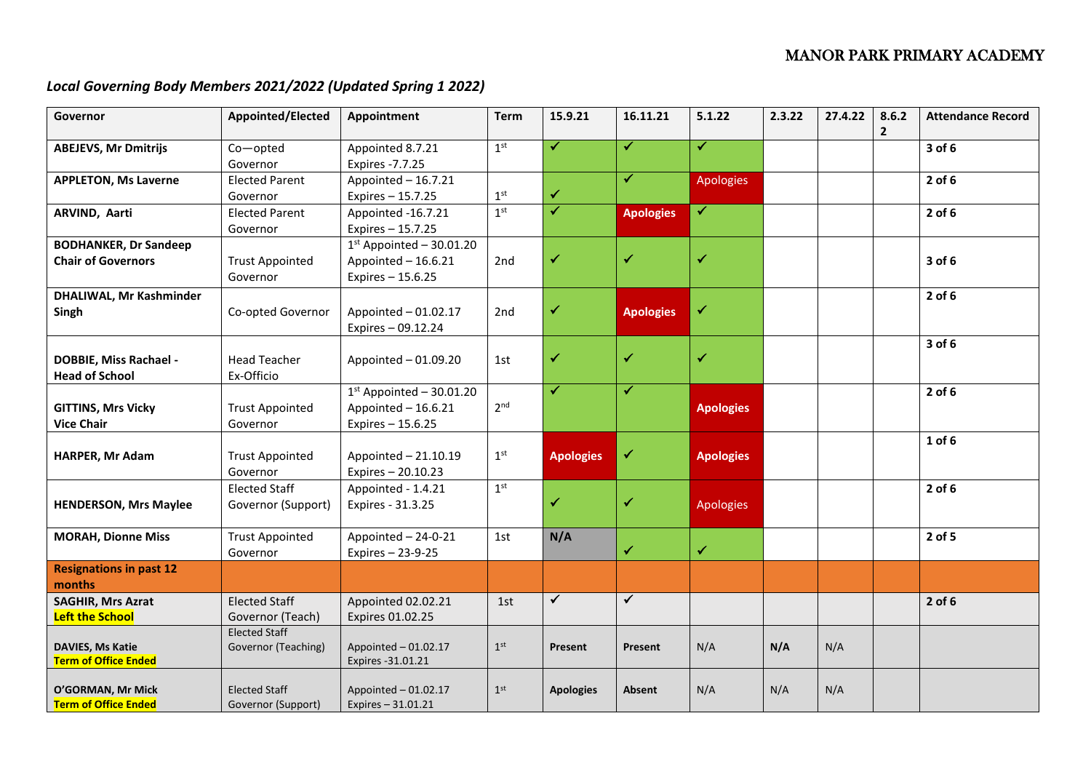## MANOR PARK PRIMARY ACADEMY

## *Local Governing Body Members 2021/2022 (Updated Spring 1 2022)*

| Governor                                                  | Appointed/Elected                           | Appointment                                                             | <b>Term</b>              | 15.9.21                 | 16.11.21         | 5.1.22           | 2.3.22 | 27.4.22 | 8.6.2<br>$\overline{2}$ | <b>Attendance Record</b> |
|-----------------------------------------------------------|---------------------------------------------|-------------------------------------------------------------------------|--------------------------|-------------------------|------------------|------------------|--------|---------|-------------------------|--------------------------|
| <b>ABEJEVS, Mr Dmitrijs</b>                               | Co-opted<br>Governor                        | Appointed 8.7.21<br>Expires - 7.7.25                                    | 1 <sup>st</sup>          | ✔                       | ✓                | $\checkmark$     |        |         |                         | 3 of 6                   |
| <b>APPLETON, Ms Laverne</b>                               | <b>Elected Parent</b><br>Governor           | Appointed - 16.7.21<br>Expires - 15.7.25                                | $\mathbf{1}^{\text{st}}$ | ✔                       | $\checkmark$     | <b>Apologies</b> |        |         |                         | $2$ of 6                 |
| ARVIND, Aarti                                             | <b>Elected Parent</b><br>Governor           | Appointed -16.7.21<br>Expires - 15.7.25                                 | 1 <sup>st</sup>          | $\overline{\checkmark}$ | <b>Apologies</b> | ✓                |        |         |                         | $2$ of 6                 |
| <b>BODHANKER, Dr Sandeep</b><br><b>Chair of Governors</b> | <b>Trust Appointed</b><br>Governor          | $1st$ Appointed - 30.01.20<br>Appointed $-16.6.21$<br>Expires - 15.6.25 | 2nd                      | ✔                       | $\checkmark$     | $\checkmark$     |        |         |                         | 3 of 6                   |
| <b>DHALIWAL, Mr Kashminder</b><br>Singh                   | Co-opted Governor                           | Appointed $-01.02.17$<br>Expires - 09.12.24                             | 2nd                      | ✔                       | <b>Apologies</b> | ✓                |        |         |                         | $2$ of 6                 |
| <b>DOBBIE, Miss Rachael -</b><br><b>Head of School</b>    | <b>Head Teacher</b><br>Ex-Officio           | Appointed $-01.09.20$                                                   | 1st                      | ✔                       | ✔                | ✓                |        |         |                         | 3 of 6                   |
| <b>GITTINS, Mrs Vicky</b><br><b>Vice Chair</b>            | <b>Trust Appointed</b><br>Governor          | $1st$ Appointed - 30.01.20<br>Appointed $-16.6.21$<br>Expires - 15.6.25 | 2 <sup>nd</sup>          | ✔                       | $\checkmark$     | <b>Apologies</b> |        |         |                         | $2$ of $6$               |
| HARPER, Mr Adam                                           | <b>Trust Appointed</b><br>Governor          | Appointed - 21.10.19<br>Expires - 20.10.23                              | 1 <sup>st</sup>          | <b>Apologies</b>        | ✔                | <b>Apologies</b> |        |         |                         | $1$ of $6$               |
| <b>HENDERSON, Mrs Maylee</b>                              | <b>Elected Staff</b><br>Governor (Support)  | Appointed - 1.4.21<br>Expires - 31.3.25                                 | 1 <sup>st</sup>          | ✓                       | ✔                | <b>Apologies</b> |        |         |                         | $2$ of 6                 |
| <b>MORAH, Dionne Miss</b>                                 | <b>Trust Appointed</b><br>Governor          | Appointed - 24-0-21<br>Expires - 23-9-25                                | 1st                      | N/A                     | ✓                | $\checkmark$     |        |         |                         | 2 of 5                   |
| <b>Resignations in past 12</b><br>months                  |                                             |                                                                         |                          |                         |                  |                  |        |         |                         |                          |
| <b>SAGHIR, Mrs Azrat</b><br><b>Left the School</b>        | <b>Elected Staff</b><br>Governor (Teach)    | Appointed 02.02.21<br>Expires 01.02.25                                  | 1st                      | $\blacktriangledown$    | $\checkmark$     |                  |        |         |                         | $2$ of 6                 |
| DAVIES, Ms Katie<br><b>Term of Office Ended</b>           | <b>Elected Staff</b><br>Governor (Teaching) | Appointed - 01.02.17<br>Expires -31.01.21                               | 1 <sup>st</sup>          | Present                 | Present          | N/A              | N/A    | N/A     |                         |                          |
| O'GORMAN, Mr Mick<br><b>Term of Office Ended</b>          | <b>Elected Staff</b><br>Governor (Support)  | Appointed $-01.02.17$<br>Expires $-31.01.21$                            | 1 <sup>st</sup>          | <b>Apologies</b>        | <b>Absent</b>    | N/A              | N/A    | N/A     |                         |                          |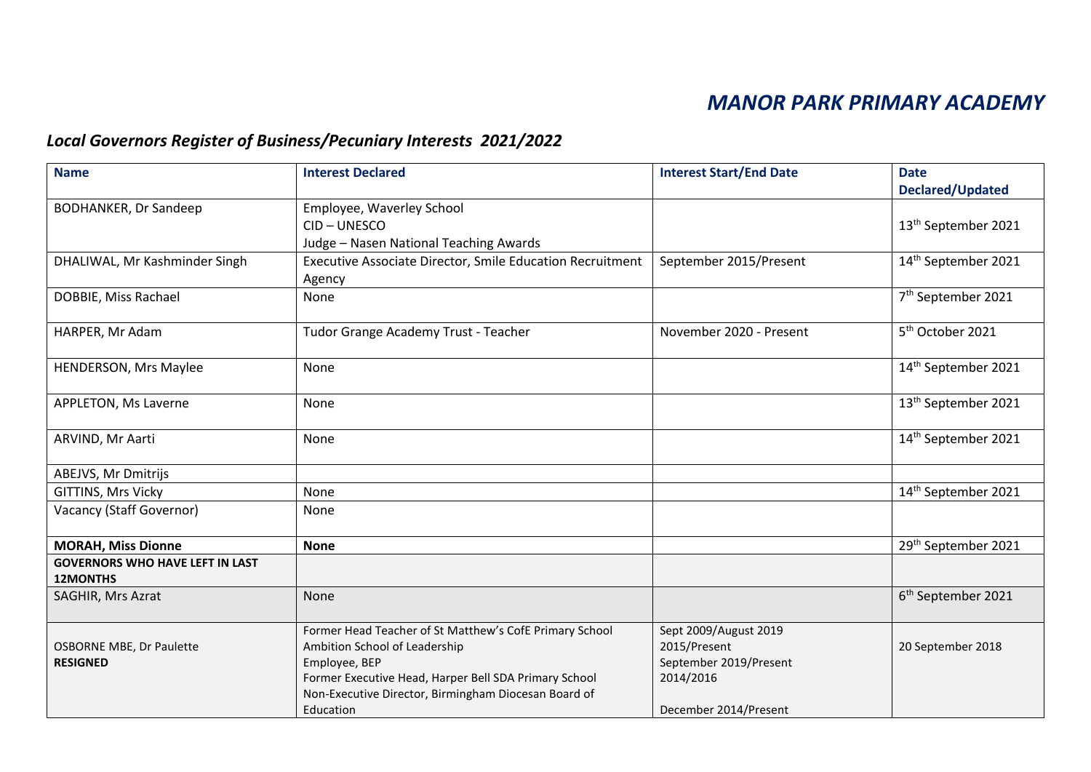# *MANOR PARK PRIMARY ACADEMY*

# *Local Governors Register of Business/Pecuniary Interests 2021/2022*

| <b>Name</b>                                               | <b>Interest Declared</b>                                  | <b>Interest Start/End Date</b> | <b>Date</b>                     |
|-----------------------------------------------------------|-----------------------------------------------------------|--------------------------------|---------------------------------|
|                                                           |                                                           |                                | Declared/Updated                |
| <b>BODHANKER, Dr Sandeep</b>                              | Employee, Waverley School                                 |                                |                                 |
|                                                           | CID-UNESCO                                                |                                | 13 <sup>th</sup> September 2021 |
|                                                           | Judge - Nasen National Teaching Awards                    |                                |                                 |
| DHALIWAL, Mr Kashminder Singh                             | Executive Associate Director, Smile Education Recruitment | September 2015/Present         | 14 <sup>th</sup> September 2021 |
|                                                           | Agency                                                    |                                |                                 |
| DOBBIE, Miss Rachael                                      | None                                                      |                                | 7 <sup>th</sup> September 2021  |
| HARPER, Mr Adam                                           | Tudor Grange Academy Trust - Teacher                      | November 2020 - Present        | 5 <sup>th</sup> October 2021    |
| <b>HENDERSON, Mrs Maylee</b>                              | None                                                      |                                | 14 <sup>th</sup> September 2021 |
|                                                           |                                                           |                                |                                 |
| APPLETON, Ms Laverne                                      | None                                                      |                                | 13 <sup>th</sup> September 2021 |
| ARVIND, Mr Aarti                                          | None                                                      |                                | 14 <sup>th</sup> September 2021 |
| ABEJVS, Mr Dmitrijs                                       |                                                           |                                |                                 |
| GITTINS, Mrs Vicky                                        | None                                                      |                                | 14 <sup>th</sup> September 2021 |
| Vacancy (Staff Governor)                                  | None                                                      |                                |                                 |
| <b>MORAH, Miss Dionne</b>                                 | <b>None</b>                                               |                                | 29 <sup>th</sup> September 2021 |
| <b>GOVERNORS WHO HAVE LEFT IN LAST</b><br><b>12MONTHS</b> |                                                           |                                |                                 |
| SAGHIR, Mrs Azrat                                         | None                                                      |                                | 6 <sup>th</sup> September 2021  |
|                                                           | Former Head Teacher of St Matthew's CofE Primary School   | Sept 2009/August 2019          |                                 |
| <b>OSBORNE MBE, Dr Paulette</b>                           | Ambition School of Leadership                             | 2015/Present                   | 20 September 2018               |
| <b>RESIGNED</b>                                           | Employee, BEP                                             | September 2019/Present         |                                 |
|                                                           | Former Executive Head, Harper Bell SDA Primary School     | 2014/2016                      |                                 |
|                                                           | Non-Executive Director, Birmingham Diocesan Board of      |                                |                                 |
|                                                           | Education                                                 | December 2014/Present          |                                 |